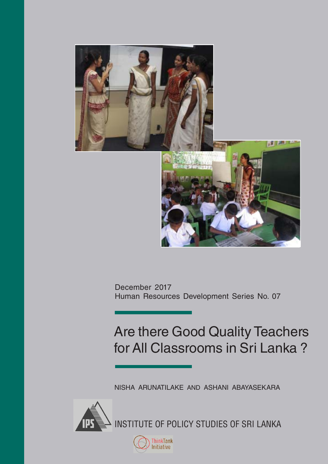

December 2017 Human Resources Development Series No. 07

## Are there Good Quality Teachers for All Classrooms in Sri Lanka ?

NISHA ARUNATILAKE AND ASHANI ABAYASEKARA

INSTITUTE OF POLICY STUDIES OF SRI LANKA

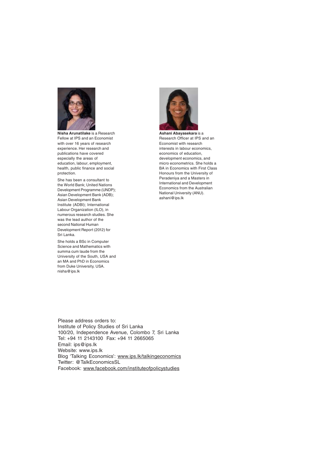

**Nisha Arunatilake** is a Research Fellow at IPS and an Economist with over 16 years of research experience. Her research and publications have covered especially the areas of education, labour, employment health, public finance and social protection.

She has been a consultant to the World Bank; United Nations Development Programme (UNDP); Asian Development Bank (ADB); Asian Development Bank Institute (ADBI); International Labour Organization (ILO), in numerous research studies. She was the lead author of the second National Human Development Report (2012) for Sri Lanka.

She holds a BSc in Computer Science and Mathematics with summa cum laude from the University of the South, USA and an MA and PhD in Economics from Duke University, USA. nisha@ips.lk



**Ashani Abayasekara** is a Research Officer at IPS and an Economist with research interests in labour economics, economics of education, development economics, and micro econometrics. She holds a BA in Economics with First Class Honours from the University of Peradeniya and a Masters in International and Development Economics from the Australian National University (ANU). ashani@ips.lk

Please address orders to: Institute of Policy Studies of Sri Lanka 100/20, Independence Avenue, Colombo 7, Sri Lanka Tel: +94 11 2143100 Fax: +94 11 2665065 Email: ips@ips.lk Website: www.ips.lk Blog 'Talking Economics': www.ips.lk/talkingeconomics Twitter: @TalkEconomicsSL Facebook: www.facebook.com/instituteofpolicystudies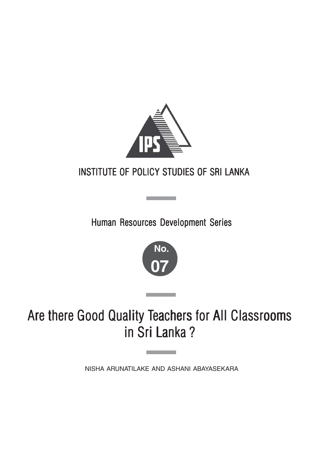

## INSTITUTE OF POLICY STUDIES OF SRI LANKA

Human Resources Development Series

**Contract Contract** 



Are there Good Quality Teachers for All Classrooms in Sri Lanka ?

NISHA ARUNATILAKE AND ASHANI ABAYASEKARA

**Contract Contract**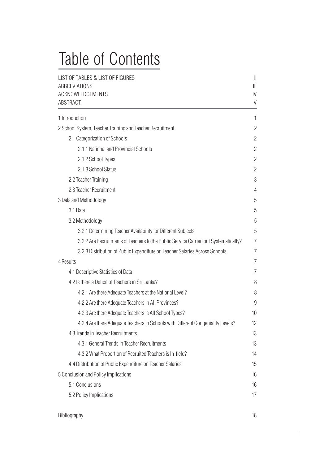# Table of Contents

| LIST OF TABLES & LIST OF FIGURES<br><b>ABBREVIATIONS</b><br>ACKNOWLEDGEMENTS<br>ABSTRACT | $\left  {}\right $<br>$\mathbb{I}$<br>$\mathsf{IV}$<br>V |
|------------------------------------------------------------------------------------------|----------------------------------------------------------|
| 1 Introduction                                                                           | 1                                                        |
| 2 School System, Teacher Training and Teacher Recruitment                                | $\overline{c}$                                           |
| 2.1 Categorization of Schools                                                            | $\overline{c}$                                           |
| 2.1.1 National and Provincial Schools                                                    | $\overline{c}$                                           |
| 2.1.2 School Types                                                                       | 2                                                        |
| 2.1.3 School Status                                                                      | $\overline{c}$                                           |
| 2.2 Teacher Training                                                                     | 3                                                        |
| 2.3 Teacher Recruitment                                                                  | 4                                                        |
| 3 Data and Methodology                                                                   | 5                                                        |
| 3.1 Data                                                                                 | 5                                                        |
| 3.2 Methodology                                                                          | 5                                                        |
| 3.2.1 Determining Teacher Availability for Different Subjects                            | 5                                                        |
| 3.2.2 Are Recruitments of Teachers to the Public Service Carried out Systematically?     | $\overline{7}$                                           |
| 3.2.3 Distribution of Public Expenditure on Teacher Salaries Across Schools              | 7                                                        |
| 4 Results                                                                                | 7                                                        |
| 4.1 Descriptive Statistics of Data                                                       | 7                                                        |
| 4.2 Is there a Deficit of Teachers in Sri Lanka?                                         | 8                                                        |
| 4.2.1 Are there Adequate Teachers at the National Level?                                 | 8                                                        |
| 4.2.2 Are there Adequate Teachers in All Provinces?                                      | 9                                                        |
| 4.2.3 Are there Adequate Teachers is All School Types?                                   | 10                                                       |
| 4.2.4 Are there Adequate Teachers in Schools with Different Congeniality Levels?         | 12                                                       |
| 4.3 Trends in Teacher Recruitments                                                       | 13                                                       |
| 4.3.1 General Trends in Teacher Recruitments                                             | 13                                                       |
| 4.3.2 What Proportion of Recruited Teachers is In-field?                                 | 14                                                       |
| 4.4 Distribution of Public Expenditure on Teacher Salaries                               | 15                                                       |
| 5 Conclusion and Policy Implications                                                     | 16                                                       |
| 5.1 Conclusions                                                                          | 16                                                       |
| 5.2 Policy Implications                                                                  | 17                                                       |

i i se na matematika na matematika na matematika na matematika na matematika na matematika na matematika na ma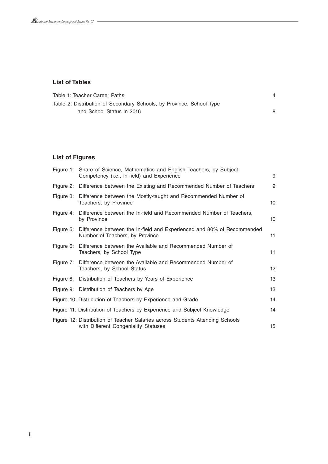#### **List of Tables**

| Table 1: Teacher Career Paths                                        |  |
|----------------------------------------------------------------------|--|
| Table 2: Distribution of Secondary Schools, by Province, School Type |  |
| and School Status in 2016                                            |  |

### **List of Figures**

|           | Figure 1: Share of Science, Mathematics and English Teachers, by Subject<br>Competency (i.e., in-field) and Experience | 9               |
|-----------|------------------------------------------------------------------------------------------------------------------------|-----------------|
|           | Figure 2: Difference between the Existing and Recommended Number of Teachers                                           | 9               |
| Figure 3: | Difference between the Mostly-taught and Recommended Number of<br>Teachers, by Province                                | 10 <sup>°</sup> |
| Figure 4: | Difference between the In-field and Recommended Number of Teachers,<br>by Province                                     | 10 <sup>°</sup> |
|           | Figure 5: Difference between the In-field and Experienced and 80% of Recommended<br>Number of Teachers, by Province    | 11              |
|           | Figure 6: Difference between the Available and Recommended Number of<br>Teachers, by School Type                       | 11              |
|           | Figure 7: Difference between the Available and Recommended Number of<br>Teachers, by School Status                     | 12              |
|           | Figure 8: Distribution of Teachers by Years of Experience                                                              | 13              |
|           | Figure 9: Distribution of Teachers by Age                                                                              | 13              |
|           | Figure 10: Distribution of Teachers by Experience and Grade                                                            | 14              |
|           | Figure 11: Distribution of Teachers by Experience and Subject Knowledge                                                | 14              |
|           | Figure 12: Distribution of Teacher Salaries across Students Attending Schools<br>with Different Congeniality Statuses  | 15              |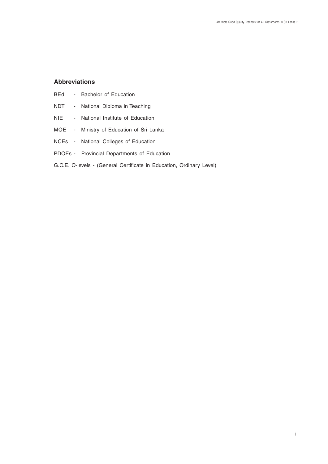#### **Abbreviations**

| BEd | Bachelor of Education |  |
|-----|-----------------------|--|
|-----|-----------------------|--|

- NDT National Diploma in Teaching
- NIE National Institute of Education
- MOE Ministry of Education of Sri Lanka
- NCEs National Colleges of Education
- PDOEs Provincial Departments of Education
- G.C.E. O-levels (General Certificate in Education, Ordinary Level)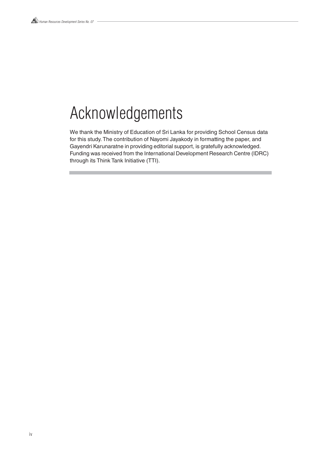## Acknowledgements

We thank the Ministry of Education of Sri Lanka for providing School Census data for this study. The contribution of Nayomi Jayakody in formatting the paper, and Gayendri Karunaratne in providing editorial support, is gratefully acknowledged. Funding was received from the International Development Research Centre (IDRC) through its Think Tank Initiative (TTI).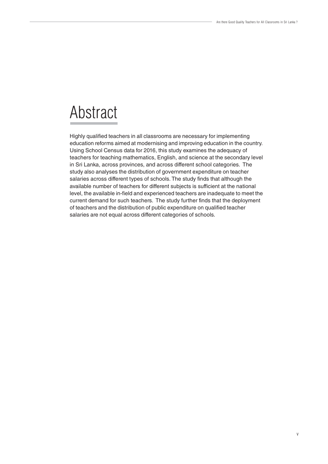## Abstract

Highly qualified teachers in all classrooms are necessary for implementing education reforms aimed at modernising and improving education in the country. Using School Census data for 2016, this study examines the adequacy of teachers for teaching mathematics, English, and science at the secondary level in Sri Lanka, across provinces, and across different school categories. The study also analyses the distribution of government expenditure on teacher salaries across different types of schools. The study finds that although the available number of teachers for different subjects is sufficient at the national level, the available in-field and experienced teachers are inadequate to meet the current demand for such teachers. The study further finds that the deployment of teachers and the distribution of public expenditure on qualified teacher salaries are not equal across different categories of schools.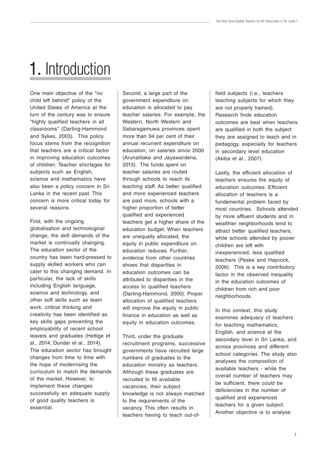# 1. Introduction

One main objective of the "no child left behind" policy of the United States of America at the turn of the century was to ensure "highly qualified teachers in all classrooms" (Darling-Hammond and Sykes, 2003). This policy focus stems from the recognition that teachers are a critical factor in improving education outcomes of children. Teacher shortages for subjects such as English, science and mathematics have also been a policy concern in Sri Lanka in the recent past. This concern is more critical today for several reasons.

First, with the ongoing globalisation and technological change, the skill demands of the market is continually changing. The education sector of the country has been hard-pressed to supply skilled workers who can cater to this changing demand. In particular, the lack of skills including English language, science and technology, and other soft skills such as team work, critical thinking and creativity has been identified as key skills gaps preventing the employability of recent school leavers and graduates (Hettige et al., 2014; Dundar et al., 2014). The education sector has brought changes from time to time with the hope of modernising the curriculum to match the demands of the market. However, to implement these changes successfully an adequate supply of good quality teachers is essential.

Second, a large part of the government expenditure on education is allocated to pay teacher salaries. For example, the Western, North Western and Sabaragamuwa provinces spent more than 94 per cent of their annual recurrent expenditure on education, on salaries since 2000 (Arunatilake and Jayawardena, 2013). The funds spent on teacher salaries are routed through schools to reach its teaching staff. As better qualified and more experienced teachers are paid more, schools with a higher proportion of better qualified and experienced teachers get a higher share of the education budget. When teachers are unequally allocated, the equity in public expenditure on education reduces. Further, evidence from other countries shows that disparities in education outcomes can be attributed to disparities in the access to qualified teachers (Darling-Hammond, 2000). Proper allocation of qualified teachers will improve the equity in public finance in education as well as equity in education outcomes.

Third, under the graduate recruitment programs, successive governments have recruited large numbers of graduates to the education ministry as teachers. Although these graduates are recruited to fill available vacancies, their subject knowledge is not always matched to the requirements of the vacancy. This often results in teachers having to teach out-offield subjects (i.e., teachers teaching subjects for which they are not properly trained). Research finds education outcomes are best when teachers are qualified in both the subject they are assigned to teach and in pedagogy, especially for teachers in secondary level education (Akiba et al., 2007).

Lastly, the efficient allocation of teachers ensures the equity of education outcomes. Efficient allocation of teachers is a fundamental problem faced by most countries. Schools attended by more affluent students and in wealthier neighborhoods tend to attract better qualified teachers, while schools attended by poorer children are left with inexperienced, less qualified teachers (Peske and Haycock, 2006). This is a key contributory factor in the observed inequality in the education outcomes of children from rich and poor neighborhoods.

In this context, this study examines adequacy of teachers for teaching mathematics, English, and science at the secondary level in Sri Lanka, and across provinces and different school categories. The study also analyses the composition of available teachers - while the overall number of teachers may be sufficient, there could be deficiencies in the number of qualified and experienced teachers for a given subject. Another objective is to analyse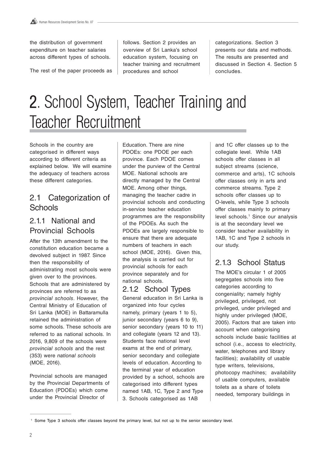the distribution of government expenditure on teacher salaries across different types of schools.

The rest of the paper proceeds as

follows. Section 2 provides an overview of Sri Lanka's school education system, focusing on teacher training and recruitment procedures and school

categorizations. Section 3 presents our data and methods. The results are presented and discussed in Section 4. Section 5 concludes.

# 2. School System, Teacher Training and Teacher Recruitment

Schools in the country are categorised in different ways according to different criteria as explained below. We will examine the adequacy of teachers across these different categories.

## 2.1 Categorization of **Schools**

### 2.1.1 National and Provincial Schools

After the 13th amendment to the constitution education became a devolved subject in 1987. Since then the responsibility of administrating most schools were given over to the provinces. Schools that are administered by provinces are referred to as provincial schools. However, the Central Ministry of Education of Sri Lanka (MOE) in Battaramulla retained the administration of some schools. These schools are referred to as national schools. In 2016, 9,809 of the schools were provincial schools and the rest (353) were national schools (MOE, 2016).

Provincial schools are managed by the Provincial Departments of Education (PDOEs) which come under the Provincial Director of

Education. There are nine PDOEs: one PDOE per each province. Each PDOE comes under the purview of the Central MOE. National schools are directly managed by the Central MOE. Among other things, managing the teacher cadre in provincial schools and conducting in-service teacher education programmes are the responsibility of the PDOEs. As such the PDOEs are largely responsible to ensure that there are adequate numbers of teachers in each school (MOE, 2016). Given this, the analysis is carried out for provincial schools for each province separately and for national schools.

#### 2.1.2 School Types General education in Sri Lanka is organized into four cycles namely, primary (years 1 to 5), junior secondary (years 6 to 9), senior secondary (years 10 to 11) and collegiate (years 12 and 13). Students face national level exams at the end of primary, senior secondary and collegiate levels of education. According to the terminal year of education provided by a school, schools are categorised into different types named 1AB, 1C, Type 2 and Type 3. Schools categorised as 1AB

and 1C offer classes up to the collegiate level. While 1AB schools offer classes in all subject streams (science, commerce and arts), 1C schools offer classes only in arts and commerce streams. Type 2 schools offer classes up to O-levels, while Type 3 schools offer classes mainly to primary level schools.1 Since our analysis is at the secondary level we consider teacher availability in 1AB, 1C and Type 2 schools in our study.

## 2.1.3 School Status

The MOE's circular 1 of 2005 segregates schools into five categories according to congeniality; namely highly privileged, privileged, not privileged, under privileged and highly under privileged (MOE, 2005). Factors that are taken into account when categorising schools include basic facilities at school (i.e., access to electricity, water, telephones and library facilities); availability of usable type writers, televisions, photocopy machines; availability of usable computers, available toilets as a share of toilets needed, temporary buildings in

<sup>1</sup> Some Type 3 schools offer classes beyond the primary level, but not up to the senior secondary level.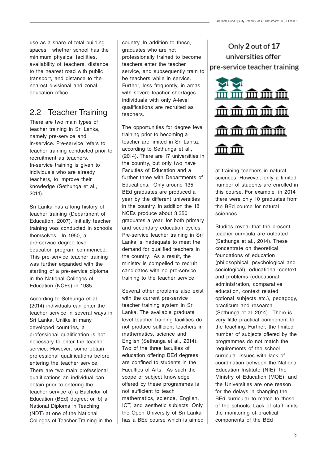use as a share of total building spaces, whether school has the minimum physical facilities, availability of teachers, distance to the nearest road with public transport, and distance to the nearest divisional and zonal education office.

## 2.2 Teacher Training

There are two main types of teacher training in Sri Lanka, namely pre-service and in-service. Pre-service refers to teacher training conducted prior to recruitment as teachers. In-service training is given to individuals who are already teachers, to improve their knowledge (Sethunga et al., 2014).

Sri Lanka has a long history of teacher training (Department of Education, 2007). Initially teacher training was conducted in schools themselves. In 1950, a pre-service degree level education program commenced. This pre-service teacher training was further expanded with the starting of a pre-service diploma in the National Colleges of Education (NCEs) in 1985.

According to Sethunga et al. (2014) individuals can enter the teacher service in several ways in Sri Lanka. Unlike in many developed countries, a professional qualification is not necessary to enter the teacher service. However, some obtain professional qualifications before entering the teacher service. There are two main professional qualifications an individual can obtain prior to entering the teacher service a) a Bachelor of Education (BEd) degree; or, b) a National Diploma in Teaching (NDT) at one of the National Colleges of Teacher Training in the

country. In addition to these, graduates who are not professionally trained to become teachers enter the teacher service, and subsequently train to be teachers while in service. Further, less frequently, in areas with severe teacher shortages individuals with only A-level qualifications are recruited as teachers.

The opportunities for degree level training prior to becoming a teacher are limited in Sri Lanka, according to Sethunga et al., (2014). There are 17 universities in the country, but only two have Faculties of Education and a further three with Departments of Educations. Only around 135 BEd graduates are produced a year by the different universities in the country. In addition the 18 NCEs produce about 3,350 graduates a year, for both primary and secondary education cycles. Pre-service teacher training in Sri Lanka is inadequate to meet the demand for qualified teachers in the country. As a result, the ministry is compelled to recruit candidates with no pre-service training to the teacher service.

Several other problems also exist with the current pre-service teacher training system in Sri Lanka. The available graduate level teacher training facilities do not produce sufficient teachers in mathematics, science and English (Sethunga et al., 2014). Two of the three faculties of education offering BEd degrees are confined to students in the Faculties of Arts. As such the scope of subject knowledge offered by these programmes is not sufficient to teach mathematics, science, English, ICT, and aesthetic subjects. Only the Open University of Sri Lanka has a BEd course which is aimed

Only 2 out of 17 universities offer pre-service teacher training



at training teachers in natural sciences. However, only a limited number of students are enrolled in this course. For example, in 2014 there were only 10 graduates from the BEd course for natural sciences.

Studies reveal that the present teacher curricula are outdated (Sethunga et al., 2014). These concentrate on theoretical foundations of education (philosophical, psychological and sociological), educational context and problems (educational administration, comparative education, context related optional subjects etc.), pedagogy, practicum and research (Sethunga et al. 2014). There is very little practical component to the teaching. Further, the limited number of subjects offered by the programmes do not match the requirements of the school curricula. Issues with lack of coordination between the National Education Institute (NIE), the Ministry of Education (MOE), and the Universities are one reason for the delays in changing the BEd curricular to match to those of the schools. Lack of staff limits the monitoring of practical components of the BEd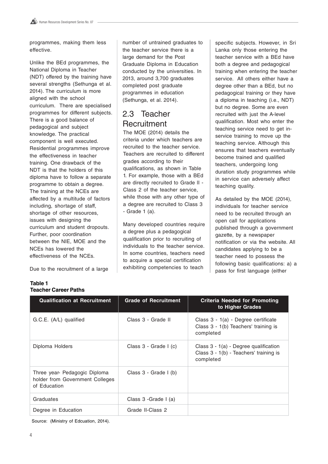programmes, making them less effective.

Unlike the BEd programmes, the National Diploma in Teacher (NDT) offered by the training have several strengths (Sethunga et al. 2014). The curriculum is more aligned with the school curriculum. There are specialised programmes for different subjects. There is a good balance of pedagogical and subject knowledge. The practical component is well executed. Residential programmes improve the effectiveness in teacher training. One drawback of the NDT is that the holders of this diploma have to follow a separate programme to obtain a degree. The training at the NCEs are affected by a multitude of factors including, shortage of staff, shortage of other resources, issues with designing the curriculum and student dropouts. Further, poor coordination between the NIE, MOE and the NCEs has lowered the effectiveness of the NCEs.

Due to the recruitment of a large

number of untrained graduates to the teacher service there is a large demand for the Post Graduate Diploma in Education conducted by the universities. In 2013, around 3,700 graduates completed post graduate programmes in education (Sethunga, et al. 2014).

## 2.3 Teacher **Recruitment**

The MOE (2014) details the criteria under which teachers are recruited to the teacher service. Teachers are recruited to different grades according to their qualifications, as shown in Table 1. For example, those with a BEd are directly recruited to Grade lI - Class 2 of the teacher service, while those with any other type of a degree are recruited to Class 3 - Grade 1 (a).

Many developed countries require a degree plus a pedagogical qualification prior to recruiting of individuals to the teacher service. In some countries, teachers need to acquire a special certification exhibiting competencies to teach

specific subjects. However, in Sri Lanka only those entering the teacher service with a BEd have both a degree and pedagogical training when entering the teacher service. All others either have a degree other than a BEd, but no pedagogical training or they have a diploma in teaching (i.e., NDT) but no degree. Some are even recruited with just the A-level qualification. Most who enter the teaching service need to get inservice training to move up the teaching service. Although this ensures that teachers eventually become trained and qualified teachers, undergoing long duration study programmes while in service can adversely affect teaching quality.

As detailed by the MOE (2014), individuals for teacher service need to be recruited through an open call for applications published through a government gazette, by a newspaper notification or via the website. All candidates applying to be a teacher need to possess the following basic qualifications: a) a pass for first language (either

| <b>Qualification at Recruitment</b>                                              | <b>Grade of Recruitment</b> | Criteria Needed for Promoting<br>to Higher Grades                                              |
|----------------------------------------------------------------------------------|-----------------------------|------------------------------------------------------------------------------------------------|
| G.C.E. (A/L) qualified                                                           | Class 3 - Grade II          | Class 3 - 1(a) - Degree certificate<br>Class 3 - 1(b) Teachers' training is<br>completed       |
| Diploma Holders                                                                  | Class 3 - Grade I (c)       | Class $3 - 1(a)$ - Degree qualification<br>Class 3 - 1(b) - Teachers' training is<br>completed |
| Three year- Pedagogic Diploma<br>holder from Government Colleges<br>of Education | Class 3 - Grade I (b)       |                                                                                                |
| Graduates                                                                        | Class 3 - Grade I (a)       |                                                                                                |
| Degree in Education                                                              | Grade II-Class 2            |                                                                                                |

**Table 1 Teacher Career Paths**

Source: (Ministry of Edcuation, 2014).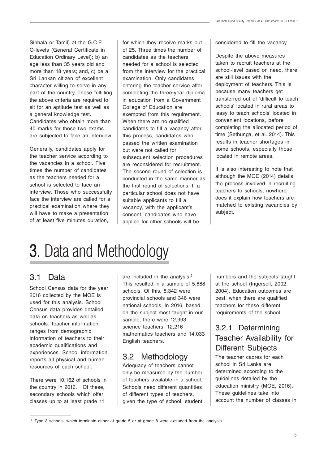Sinhala or Tamil) at the G.C.E. O-levels (General Certificate in Education Ordinary Level); b) an age less than 35 years old and more than 18 years; and, c) be a Sri Lankan citizen of excellent character willing to serve in any part of the country. Those fulfilling the above criteria are required to sit for an aptitude test as well as a general knowledge test. Candidates who obtain more than 40 marks for those two exams are subjected to face an interview.

Generally, candidates apply for the teacher service according to the vacancies in a school. Five times the number of candidates as the teachers needed for a school is selected to face an interview. Those who successfully face the interview are called for a practical examination where they will have to make a presentation of at least five minutes duration,

for which they receive marks out of 25. Three times the number of candidates as the teachers needed for a school is selected from the interview for the practical examination. Only candidates entering the teacher service after completing the three-year diploma in education from a Government College of Education are exempted from this requirement. When there are no qualified candidates to fill a vacancy after this process, candidates who passed the written examination but were not called for subsequent selection procedures are reconsidered for recruitment. The second round of selection is conducted in the same manner as the first round of selections. If a particular school does not have suitable applicants to fill a vacancy, with the applicant's consent, candidates who have applied for other schools will be

considered to fill the vacancy.

Despite the above measures taken to recruit teachers at the school-level based on need, there are still issues with the deployment of teachers. This is because many teachers get transferred out of 'difficult to teach schools' located in rural areas to 'easy to teach schools' located in convenient locations, before completing the allocated period of time (Sethunga, et al. 2014). This results in teacher shortages in some schools, especially those located in remote areas.

It is also interesting to note that although the MOE (2014) details the process involved in recruiting teachers to schools, nowhere does it explain how teachers are matched to existing vacancies by subject.

## **3.** Data and Methodology

## 3.1 Data

School Census data for the year 2016 collected by the MOE is used for this analysis. School Census data provides detailed data on teachers as well as schools. Teacher information ranges from demographic information of teachers to their academic qualifications and experiences. School information reports all physical and human resources of each school.

There were 10,162 of schools in the country in 2016. Of these, secondary schools which offer classes up to at least grade 11

are included in the analysis.<sup>2</sup> This resulted in a sample of 5,688 schools. Of this, 5,342 were provincial schools and 346 were national schools. In 2016, based on the subject most taught in our sample, there were 12,993 science teachers, 12,216 mathematics teachers and 14,033 English teachers.

## 3.2 Methodology

Adequacy of teachers cannot only be measured by the number of teachers available in a school. Schools need different quantities of different types of teachers, given the type of school, student numbers and the subjects taught at the school (Ingersoll, 2002, 2004). Education outcomes are best, when there are qualified teachers for these different requirements of the school.

## 3.2.1 Determining Teacher Availability for Different Subjects

The teacher cadres for each school in Sri Lanka are determined according to the guidelines detailed by the education ministry (MOE, 2016). These guidelines take into account the number of classes in

<sup>2</sup> Type 3 schools, which terminate either at grade 5 or at grade 8 were excluded from the analysis.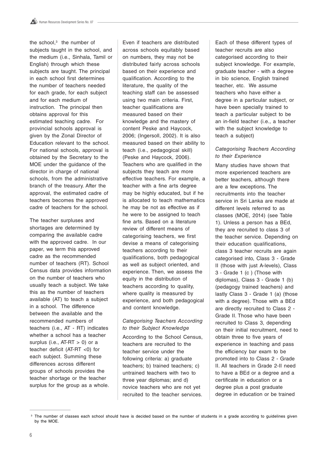the school,<sup>3</sup> the number of subjects taught in the school, and the medium (i.e., Sinhala, Tamil or English) through which these subjects are taught. The principal in each school first determines the number of teachers needed for each grade, for each subject and for each medium of instruction. The principal then obtains approval for this estimated teaching cadre. For provincial schools approval is given by the Zonal Director of Education relevant to the school. For national schools, approval is obtained by the Secretary to the MOE under the guidance of the director in charge of national schools, from the administrative branch of the treasury. After the approval, the estimated cadre of teachers becomes the approved cadre of teachers for the school.

The teacher surpluses and shortages are determined by comparing the available cadre with the approved cadre. In our paper, we term this approved cadre as the recommended number of teachers (RT). School Census data provides information on the number of teachers who usually teach a subject. We take this as the number of teachers available (AT) to teach a subject in a school. The difference between the available and the recommended numbers of teachers (i.e., AT - RT) indicates whether a school has a teacher surplus (i.e.,  $AT-RT > 0$ ) or a teacher deficit (AT-RT <0) for each subject. Summing these differences across different groups of schools provides the teacher shortage or the teacher surplus for the group as a whole.

Even if teachers are distributed across schools equitably based on numbers, they may not be distributed fairly across schools based on their experience and qualification. According to the literature, the quality of the teaching staff can be assessed using two main criteria. First, teacher qualifications are measured based on their knowledge and the mastery of content Peske and Haycock, 2006; (Ingersoll, 2002). It is also measured based on their ability to teach (i.e., pedagogical skill) (Peske and Haycock, 2006). Teachers who are qualified in the subjects they teach are more effective teachers. For example, a teacher with a fine arts degree may be highly educated, but if he is allocated to teach mathematics he may be not as effective as if he were to be assigned to teach fine arts. Based on a literature review of different means of categorising teachers, we first devise a means of categorising teachers according to their qualifications, both pedagogical as well as subject oriented, and experience. Then, we assess the equity in the distribution of teachers according to quality, where quality is measured by experience, and both pedagogical and content knowledge.

#### Categorising Teachers According to their Subject Knowledge

According to the School Census, teachers are recruited to the teacher service under the following criteria: a) graduate teachers; b) trained teachers; c) untrained teachers with two to three year diplomas; and d) novice teachers who are not yet recruited to the teacher services.

Each of these different types of teacher recruits are also categorised according to their subject knowledge. For example, graduate teacher - with a degree in bio science, English trained teacher, etc. We assume teachers who have either a degree in a particular subject, or have been specially trained to teach a particular subject to be an in-field teacher (i.e., a teacher with the subject knowledge to teach a subject)

#### Categorising Teachers According to their Experience

Many studies have shown that more experienced teachers are better teachers, although there are a few exceptions. The recruitments into the teacher service in Sri Lanka are made at different levels referred to as classes (MOE, 2014) (see Table 1). Unless a person has a BEd, they are recruited to class 3 of the teacher service. Depending on their education qualifications, class 3 teacher recruits are again categorised into, Class 3 - Grade II (those with just A-levels), Class 3 - Grade 1 (c ) (Those with diplomas), Class 3 - Grade 1 (b) (pedagogy trained teachers) and lastly Class 3 - Grade 1 (a) (those with a degree). Those with a BEd are directly recruited to Class 2 - Grade II. Those who have been recruited to Class 3, depending on their initial recruitment, need to obtain three to five years of experience in teaching and pass the efficiency bar exam to be promoted into to Class 2 - Grade II. All teachers in Grade 2-II need to have a BEd or a degree and a certificate in education or a degree plus a post graduate degree in education or be trained

<sup>&</sup>lt;sup>3</sup> The number of classes each school should have is decided based on the number of students in a grade according to quidelines given by the MOE.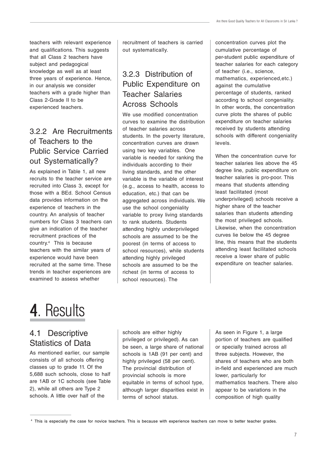teachers with relevant experience and qualifications. This suggests that all Class 2 teachers have subject and pedagogical knowledge as well as at least three years of experience. Hence, in our analysis we consider teachers with a grade higher than Class 2-Grade II to be experienced teachers.

## 3.2.2 Are Recruitments of Teachers to the Public Service Carried out Systematically?

As explained in Table 1, all new recruits to the teacher service are recruited into Class 3, except for those with a BEd. School Census data provides information on the experience of teachers in the country. An analysis of teacher numbers for Class 3 teachers can give an indication of the teacher recruitment practices of the country.4 This is because teachers with the similar years of experience would have been recruited at the same time. These trends in teacher experiences are examined to assess whether

recruitment of teachers is carried out systematically.

## 3.2.3 Distribution of Public Expenditure on Teacher Salaries Across Schools

We use modified concentration curves to examine the distribution of teacher salaries across students. In the poverty literature, concentration curves are drawn using two key variables. One variable is needed for ranking the individuals according to their living standards, and the other variable is the variable of interest (e.g., access to health, access to education, etc.) that can be aggregated across individuals. We use the school congeniality variable to proxy living standards to rank students. Students attending highly underprivileged schools are assumed to be the poorest (in terms of access to school resources), while students attending highly privileged schools are assumed to be the richest (in terms of access to school resources). The

concentration curves plot the cumulative percentage of per-student public expenditure of teacher salaries for each category of teacher (i.e., science, mathematics, experienced,etc.) against the cumulative percentage of students, ranked according to school congeniality. In other words, the concentration curve plots the shares of public expenditure on teacher salaries received by students attending schools with different congeniality levels.

When the concentration curve for teacher salaries lies above the 45 degree line, public expenditure on teacher salaries is pro-poor. This means that students attending least facilitated (most underprivileged) schools receive a higher share of the teacher salaries than students attending the most privileged schools. Likewise, when the concentration curves lie below the 45 degree line, this means that the students attending least facilitated schools receive a lower share of public expenditure on teacher salaries.

## 4. Results

## 4.1 Descriptive Statistics of Data

As mentioned earlier, our sample consists of all schools offering classes up to grade 11. Of the 5,688 such schools, close to half are 1AB or 1C schools (see Table 2), while all others are Type 2 schools. A little over half of the

schools are either highly privileged or privileged). As can be seen, a large share of national schools is 1AB (91 per cent) and highly privileged (58 per cent). The provincial distribution of provincial schools is more equitable in terms of school type, although larger disparities exist in terms of school status.

As seen in Figure 1, a large portion of teachers are qualified or specially trained across all three subjects. However, the shares of teachers who are both in-field and experienced are much lower, particularly for mathematics teachers. There also appear to be variations in the composition of high quality

<sup>4</sup> This is especially the case for novice teachers. This is because with experience teachers can move to better teacher grades.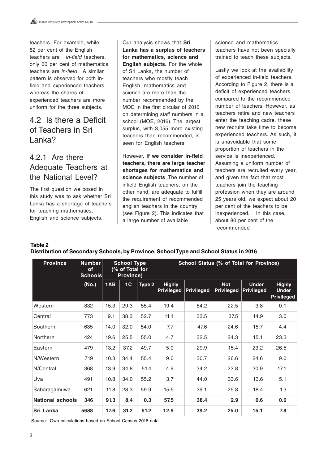teachers. For example, while 82 per cent of the English teachers are in-field teachers, only 60 per cent of mathematics teachers are in-field. A similar pattern is observed for both infield and experienced teachers, whereas the shares of experienced teachers are more uniform for the three subjects.

## 4.2 Is there a Deficit of Teachers in Sri Lanka?

## 4.2.1 Are there Adequate Teachers at the National Level?

The first question we posed in this study was to ask whether Sri Lanka has a shortage of teachers for teaching mathematics, English and science subjects.

Our analysis shows that **Sri Lanka has a surplus of teachers for mathematics, science and English subjects.** For the whole of Sri Lanka, the number of teachers who mostly teach English, mathematics and science are more than the number recommended by the MOE in the first circular of 2016 on determining staff numbers in a school (MOE, 2016). The largest surplus, with 3,055 more existing teachers than recommended, is seen for English teachers.

However, **if we consider in-field teachers, there are large teacher shortages for mathematics and science subjects**. The number of infield English teachers, on the other hand, are adequate to fulfill the requirement of recommended english teachers in the country (see Figure 2). This indicates that a large number of available

science and mathematics teachers have not been specially trained to teach these subjects.

Lastly we look at the availability of experienced in-field teachers. According to Figure 2, there is a deficit of experienced teachers compared to the recommended number of teachers. However, as teachers retire and new teachers enter the teaching cadre, these new recruits take time to become experienced teachers. As such, it is unavoidable that some proportion of teachers in the service is inexperienced. Assuming a uniform number of teachers are recruited every year, and given the fact that most teachers join the teaching profession when they are around 25 years old, we expect about 20 per cent of the teachers to be inexperienced. In this case, about 80 per cent of the recommended

| Table 2                                                                               |  |  |  |
|---------------------------------------------------------------------------------------|--|--|--|
| Distribution of Secondary Schools, by Province, School Type and School Status in 2016 |  |  |  |

| <b>Province</b>         | <b>Number</b><br><b>of</b><br><b>Schools</b> | <b>School Type</b><br>(% of Total for<br>Province) |      | School Status (% of Total for Province) |                                    |                   |                                 |                                   |                                                    |
|-------------------------|----------------------------------------------|----------------------------------------------------|------|-----------------------------------------|------------------------------------|-------------------|---------------------------------|-----------------------------------|----------------------------------------------------|
|                         | (No.)                                        | 1AB                                                | 1C   | Type 2                                  | <b>Highly</b><br><b>Privileged</b> | <b>Privileged</b> | <b>Not</b><br><b>Privileged</b> | <b>Under</b><br><b>Privileged</b> | <b>Highly</b><br><b>Under</b><br><b>Privileged</b> |
| Western                 | 832                                          | 15.3                                               | 29.3 | 55.4                                    | 19.4                               | 54.2              | 22.5                            | 3.8                               | 0.1                                                |
| Central                 | 773                                          | 9.1                                                | 38.3 | 52.7                                    | 11.1                               | 33.5              | 37.5                            | 14.9                              | 3.0                                                |
| Southern                | 635                                          | 14.0                                               | 32.0 | 54.0                                    | 7.7                                | 47.6              | 24.6                            | 15.7                              | 4.4                                                |
| Northern                | 424                                          | 19.6                                               | 25.5 | 55.0                                    | 4.7                                | 32.5              | 24.3                            | 15.1                              | 23.3                                               |
| Eastern                 | 479                                          | 13.2                                               | 37.2 | 49.7                                    | 5.0                                | 29.9              | 15.4                            | 23.2                              | 26.5                                               |
| N/Western               | 719                                          | 10.3                                               | 34.4 | 55.4                                    | 9.0                                | 30.7              | 26.6                            | 24.6                              | 9.0                                                |
| N/Central               | 368                                          | 13.9                                               | 34.8 | 51.4                                    | 4.9                                | 34.2              | 22.8                            | 20.9                              | 17.1                                               |
| Uva                     | 491                                          | 10.8                                               | 34.0 | 55.2                                    | 3.7                                | 44.0              | 33.6                            | 13.6                              | 5.1                                                |
| Sabaragamuwa            | 621                                          | 11.8                                               | 28.3 | 59.9                                    | 15.5                               | 39.1              | 25.8                            | 18.4                              | 1.3                                                |
| <b>National schools</b> | 346                                          | 91.3                                               | 8.4  | 0.3                                     | 57.5                               | 38.4              | 2.9                             | 0.6                               | 0.6                                                |
| Sri Lanka               | 5688                                         | 17.6                                               | 31.2 | 51.2                                    | 12.9                               | 39.2              | 25.0                            | 15.1                              | 7.8                                                |

Source: Own calculations based on School Census 2016 data.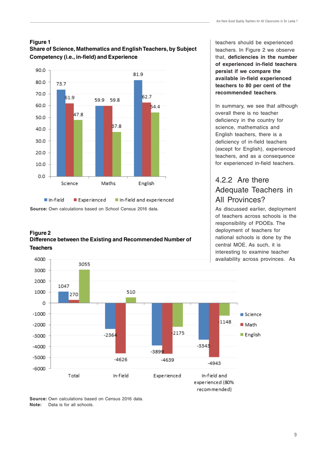#### **Figure 1 Share of Science, Mathematics and English Teachers, by Subject Competency (i.e., in-field) and Experience**



**Source:** Own calculations based on School Census 2016 data.

4000

#### **Figure 2 Difference between the Existing and Recommended Number of Teachers**

teachers should be experienced teachers. In Figure 2 we observe that, **deficiencies in the number of experienced in-field teachers persist if we compare the available in-field experienced teachers to 80 per cent of the recommended teachers**.

In summary, we see that although overall there is no teacher deficiency in the country for science, mathematics and English teachers, there is a deficiency of in-field teachers (except for English), experienced teachers, and as a consequence for experienced in-field teachers.

## 4.2.2 Are there Adequate Teachers in All Provinces?

As discussed earlier, deployment of teachers across schools is the responsibility of PDOEs. The deployment of teachers for national schools is done by the central MOE. As such, it is interesting to examine teacher availability across provinces. As



**Source:** Own calculations based on Census 2016 data. **Note:** Data is for all schools.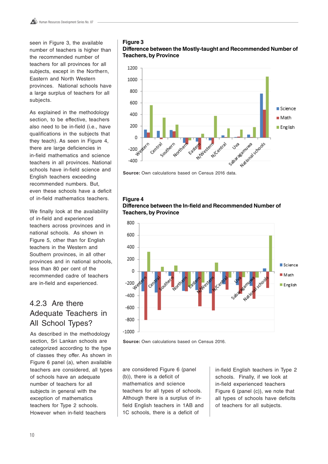seen in Figure 3, the available number of teachers is higher than the recommended number of teachers for all provinces for all subjects, except in the Northern, Eastern and North Western provinces. National schools have a large surplus of teachers for all subjects.

As explained in the methodology section, to be effective, teachers also need to be in-field (i.e., have qualifications in the subjects that they teach). As seen in Figure 4, there are large deficiencies in in-field mathematics and science teachers in all provinces. National schools have in-field science and English teachers exceeding recommended numbers. But, even these schools have a deficit of in-field mathematics teachers.

We finally look at the availability of in-field and experienced teachers across provinces and in national schools. As shown in Figure 5, other than for English teachers in the Western and Southern provinces, in all other provinces and in national schools, less than 80 per cent of the recommended cadre of teachers are in-field and experienced.

## 4.2.3 Are there Adequate Teachers in All School Types?

As described in the methodology section, Sri Lankan schools are categorized according to the type of classes they offer. As shown in Figure 6 panel (a), when available teachers are considered, all types of schools have an adequate number of teachers for all subjects in general with the exception of mathematics teachers for Type 2 schools. However when in-field teachers

#### **Figure 3**

**Difference between the Mostly-taught and Recommended Number of Teachers, by Province**



**Source:** Own calculations based on Census 2016 data.

#### **Figure 4 Difference between the In-field and Recommended Number of Teachers, by Province**



**Source:** Own calculations based on Census 2016.

are considered Figure 6 (panel (b)), there is a deficit of mathematics and science teachers for all types of schools. Although there is a surplus of infield English teachers in 1AB and 1C schools, there is a deficit of

in-field English teachers in Type 2 schools. Finally, if we look at in-field experienced teachers Figure 6 (panel (c)), we note that all types of schools have deficits of teachers for all subjects.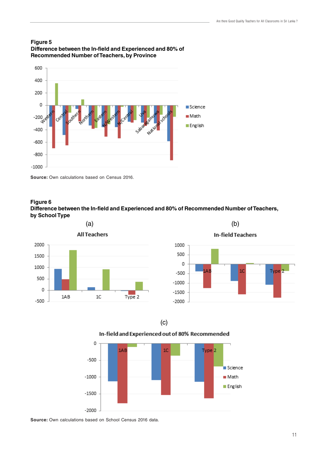



**Source:** Own calculations based on Census 2016.

#### **Figure 6 Difference between the In-field and Experienced and 80% of Recommended Number of Teachers, by School Type**





#### In-field and Experienced out of 80% Recommended



**Source:** Own calculations based on School Census 2016 data.

Tvne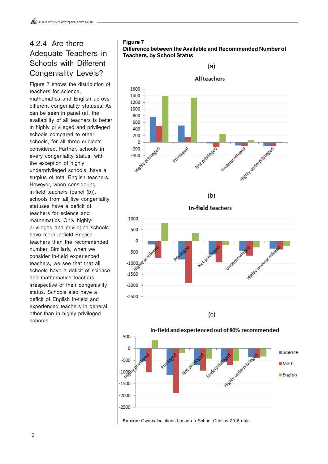## 4.2.4 Are there Adequate Teachers in Schools with Different Congeniality Levels?

Figure 7 shows the distribution of teachers for science, mathematics and English across different congeniality statuses. As can be seen in panel (a), the availability of all teachers is better in highly privileged and privileged schools compared to other schools, for all three subjects considered. Further, schools in every congeniality status, with the exception of highly underprivileged schools, have a surplus of total English teachers. However, when considering in-field teachers (panel (b)), schools from all five congeniality statuses have a deficit of teachers for science and mathematics. Only highlyprivileged and privileged schools have more in-field English teachers than the recommended number. Similarly, when we consider in-field experienced teachers, we see that that all schools have a deficit of science and mathematics teachers irrespective of their congeniality status. Schools also have a deficit of English in-field and experienced teachers in general, other than in highly privileged schools.

#### **Figure 7 Difference between the Available and Recommended Number of Teachers, by School Status**



**Source:** Own calculations based on School Census 2016 data.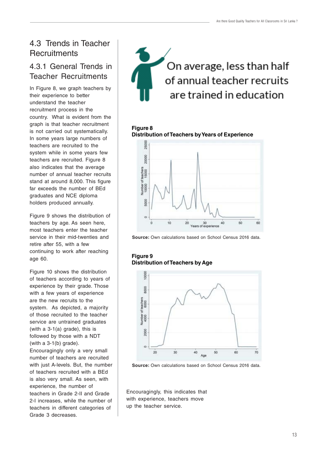## 4.3 Trends in Teacher **Recruitments**

### 4.3.1 General Trends in Teacher Recruitments

In Figure 8, we graph teachers by their experience to better understand the teacher recruitment process in the country. What is evident from the graph is that teacher recruitment is not carried out systematically. In some years large numbers of teachers are recruited to the system while in some years few teachers are recruited. Figure 8 also indicates that the average number of annual teacher recruits stand at around 8,000. This figure far exceeds the number of BEd graduates and NCE diploma holders produced annually.

Figure 9 shows the distribution of teachers by age. As seen here, most teachers enter the teacher service in their mid-twenties and retire after 55, with a few continuing to work after reaching age 60.

Figure 10 shows the distribution of teachers according to years of experience by their grade. Those with a few years of experience are the new recruits to the system. As depicted, a majority of those recruited to the teacher service are untrained graduates (with a 3-1(a) grade), this is followed by those with a NDT (with a  $3-1(b)$  grade).

Encouragingly only a very small number of teachers are recruited with just A-levels. But, the number of teachers recruited with a BEd is also very small. As seen, with experience, the number of teachers in Grade 2-II and Grade 2-I increases, while the number of teachers in different categories of Grade 3 decreases.



#### **Figure 8 Distribution of Teachers by Years of Experience**



**Source:** Own calculations based on School Census 2016 data.

#### **Figure 9 Distribution of Teachers by Age**



**Source:** Own calculations based on School Census 2016 data.

Encouragingly, this indicates that with experience, teachers move up the teacher service.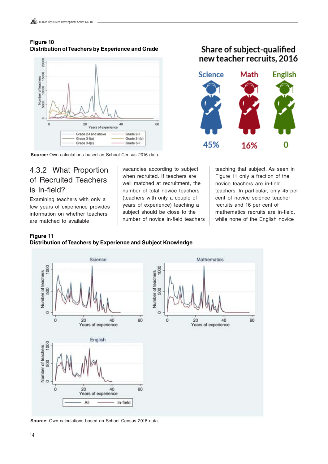#### **Figure 10 Distribution of Teachers by Experience and Grade**



**Source:** Own calculations based on School Census 2016 data.

## 4.3.2 What Proportion of Recruited Teachers is In-field?

Examining teachers with only a few years of experience provides information on whether teachers are matched to available

vacancies according to subject when recruited. If teachers are well matched at recruitment, the number of total novice teachers (teachers with only a couple of years of experience) teaching a subject should be close to the number of novice in-field teachers

Share of subject-qualified new teacher recruits, 2016



teaching that subject. As seen in Figure 11 only a fraction of the novice teachers are in-field teachers. In particular, only 45 per cent of novice science teacher recruits and 16 per cent of mathematics recruits are in-field, while none of the English novice

#### **Figure 11 Distribution of Teachers by Experience and Subject Knowledge**



**Source:** Own calculations based on School Census 2016 data.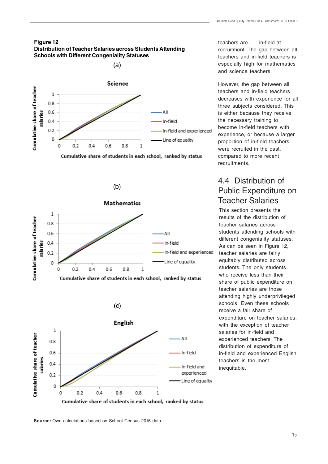









Cumulative share of students in each school, ranked by status

teachers are in-field at recruitment. The gap between all teachers and in-field teachers is especially high for mathematics and science teachers.

However, the gap between all teachers and in-field teachers decreases with experience for all three subjects considered. This is either because they receive the necessary training to become in-field teachers with experience, or because a larger proportion of in-field teachers were recruited in the past, compared to more recent recruitments.

## 4.4 Distribution of Public Expenditure on Teacher Salaries

This section presents the results of the distribution of teacher salaries across students attending schools with different congeniality statuses. As can be seen in Figure 12. teacher salaries are fairly equitably distributed across students. The only students who receive less than their share of public expenditure on teacher salaries are those attending highly underprivileged schools. Even these schools receive a fair share of expenditure on teacher salaries, with the exception of teacher salaries for in-field and experienced teachers. The distribution of expenditure of in-field and experienced English teachers is the most inequitable.

**Source:** Own calculations based on School Census 2016 data.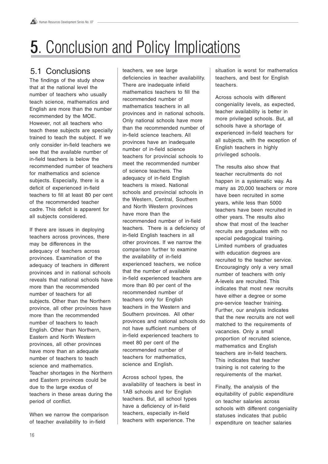# **5.** Conclusion and Policy Implications

## 5.1 Conclusions

The findings of the study show that at the national level the number of teachers who usually teach science, mathematics and English are more than the number recommended by the MOE. However, not all teachers who teach these subjects are specially trained to teach the subject. If we only consider in-field teachers we see that the available number of in-field teachers is below the recommended number of teachers for mathematics and science subjects. Especially, there is a deficit of experienced in-field teachers to fill at least 80 per cent of the recommended teacher cadre. This deficit is apparent for all subjects considered.

If there are issues in deploying teachers across provinces, there may be differences in the adequacy of teachers across provinces. Examination of the adequacy of teachers in different provinces and in national schools reveals that national schools have more than the recommended number of teachers for all subjects. Other than the Northern province, all other provinces have more than the recommended number of teachers to teach English. Other than Northern, Eastern and North Western provinces, all other provinces have more than an adequate number of teachers to teach science and mathematics. Teacher shortages in the Northern and Eastern provinces could be due to the large exodus of teachers in these areas during the period of conflict.

When we narrow the comparison of teacher availability to in-field

teachers, we see large deficiencies in teacher availability. There are inadequate infield mathematics teachers to fill the recommended number of mathematics teachers in all provinces and in national schools. Only national schools have more than the recommended number of in-field science teachers. All provinces have an inadequate number of in-field science teachers for provincial schools to meet the recommended number of science teachers. The adequacy of in-field English teachers is mixed. National schools and provincial schools in the Western, Central, Southern and North Western provinces have more than the recommended number of in-field teachers. There is a deficiency of in-field English teachers in all other provinces. If we narrow the comparison further to examine the availability of in-field experienced teachers, we notice that the number of available in-field experienced teachers are more than 80 per cent of the recommended number of teachers only for English teachers in the Western and Southern provinces. All other provinces and national schools do not have sufficient numbers of in-field experienced teachers to meet 80 per cent of the recommended number of teachers for mathematics, science and English.

Across school types, the availability of teachers is best in 1AB schools and for English teachers. But, all school types have a deficiency of in-field teachers, especially in-field teachers with experience. The

situation is worst for mathematics teachers, and best for English teachers.

Across schools with different congeniality levels, as expected, teacher availability is better in more privileged schools. But, all schools have a shortage of experienced in-field teachers for all subjects, with the exception of English teachers in highly privileged schools.

The results also show that teacher recruitments do not happen in a systematic way. As many as 20,000 teachers or more have been recruited in some years, while less than 5000 teachers have been recruited in other years. The results also show that most of the teacher recruits are graduates with no special pedagogical training. Limited numbers of graduates with education degrees are recruited to the teacher service. Encouragingly only a very small number of teachers with only A-levels are recruited. This indicates that most new recruits have either a degree or some pre-service teacher training. Further, our analysis indicates that the new recruits are not well matched to the requirements of vacancies. Only a small proportion of recruited science, mathematics and English teachers are in-field teachers. This indicates that teacher training is not catering to the requirements of the market.

Finally, the analysis of the equitability of public expenditure on teacher salaries across schools with different congeniality statuses indicates that public expenditure on teacher salaries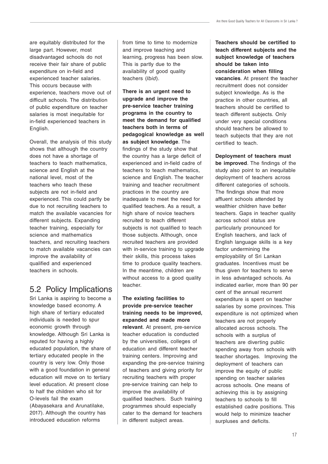are equitably distributed for the large part. However, most disadvantaged schools do not receive their fair share of public expenditure on in-field and experienced teacher salaries. This occurs because with experience, teachers move out of difficult schools. The distribution of public expenditure on teacher salaries is most inequitable for in-field experienced teachers in English.

Overall, the analysis of this study shows that although the country does not have a shortage of teachers to teach mathematics, science and English at the national level, most of the teachers who teach these subjects are not in-field and experienced. This could partly be due to not recruiting teachers to match the available vacancies for different subjects. Expanding teacher training, especially for science and mathematics teachers, and recruiting teachers to match available vacancies can improve the availability of qualified and experienced teachers in schools.

## 5.2 Policy Implications

Sri Lanka is aspiring to become a knowledge based economy. A high share of tertiary educated individuals is needed to spur economic growth through knowledge. Although Sri Lanka is reputed for having a highly educated population, the share of tertiary educated people in the country is very low. Only those with a good foundation in general education will move on to tertiary level education. At present close to half the children who sit for O-levels fail the exam (Abayasekara and Arunatilake, 2017). Although the country has introduced education reforms

from time to time to modernize and improve teaching and learning, progress has been slow. This is partly due to the availability of good quality teachers (Ibid).

**There is an urgent need to upgrade and improve the pre-service teacher training programs in the country to meet the demand for qualified teachers both in terms of pedagogical knowledge as well as subject knowledge**. The findings of the study show that the country has a large deficit of experienced and in-field cadre of teachers to teach mathematics, science and English. The teacher training and teacher recruitment practices in the country are inadequate to meet the need for qualified teachers. As a result, a high share of novice teachers recruited to teach different subjects is not qualified to teach those subjects. Although, once recruited teachers are provided with in-service training to upgrade their skills, this process takes time to produce quality teachers. In the meantime, children are without access to a good quality teacher.

**The existing facilities to provide pre-service teacher training needs to be improved, expanded and made more relevant**. At present, pre-service teacher education is conducted by the universities, colleges of education and different teacher training centers. Improving and expanding the pre-service training of teachers and giving priority for recruiting teachers with proper pre-service training can help to improve the availability of qualified teachers. Such training programmes should especially cater to the demand for teachers in different subject areas.

**Teachers should be certified to teach different subjects and the subject knowledge of teachers should be taken into consideration when filling vacancies**. At present the teacher recruitment does not consider subject knowledge. As is the practice in other countries, all teachers should be certified to teach different subjects. Only under very special conditions should teachers be allowed to teach subjects that they are not certified to teach.

**Deployment of teachers must be improved**. The findings of the study also point to an inequitable deployment of teachers across different categories of schools. The findings show that more affluent schools attended by wealthier children have better teachers. Gaps in teacher quality across school status are particularly pronounced for English teachers, and lack of English language skills is a key factor undermining the employability of Sri Lankan graduates. Incentives must be thus given for teachers to serve in less advantaged schools. As indicated earlier, more than 90 per cent of the annual recurrent expenditure is spent on teacher salaries by some provinces. This expenditure is not optimized when teachers are not properly allocated across schools. The schools with a surplus of teachers are diverting public spending away from schools with teacher shortages. Improving the deployment of teachers can improve the equity of public spending on teacher salaries across schools. One means of achieving this is by assigning teachers to schools to fill established cadre positions. This would help to minimize teacher surpluses and deficits.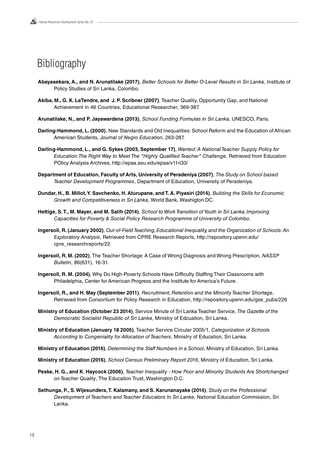## Bibliography

- **Abayasekara, A., and N. Arunatilake (2017)**, Better Schools for Better O-Level Results in Sri Lanka, Institute of Policy Studies of Sri Lanka, Colombo.
- **Akiba, M., G. K. LeTendre, and J. P. Scribner (2007)**, Teacher Quality, Opportunity Gap, and National Achievement in 46 Countries, Educational Researcher, 369-387.
- **Arunatilake, N., and P. Jayawardena (2013)**, School Funding Formulas in Sri Lanka, UNESCO, Paris.
- **Darling-Hammond, L. (2000)**, New Standards and Old Inequalities: School Reform and the Education of African American Students, Journal of Negro Education, 263-287.
- **Darling-Hammond, L., and G. Sykes (2003, September 17)**, Wanted: A National Teacher Supply Policy for Education:The Right Way to Meet The "Highly Qualified Teacher" Challenge, Retrieved from Education POlicy Analysis Archives, http://epaa.asu.edu/epaa/v11n33/
- **Department of Education, Faculty of Arts, University of Peradeniya (2007)**, The Study on School based Teacher Development Programmes, Department of Education, University of Peradeniya.
- **Dundar, H., B. Millot, Y. Savchenko, H. Aturupane, and T. A. Piyasiri (2014)**, Building the Skills for Economic Growth and Competitiveness in Sri Lanka, World Bank, Washigton DC.
- **Hettige, S. T., M. Mayer, and M. Salih (2014)**, School to Work Transition of Youth in Sri Lanka, Improving Capacities for Poverty & Social Policy Research Programme of University of Colombo.
- **Ingersoll, R. (January 2002)**, Out-of-Field Teaching, Educational Inequality, and the Organization of Schools: An Exploratory Analysis, Retrieved from CPRE Research Reports, http://repository.upenn.edu/ cpre\_researchreports/22
- **Ingersoll, R. M. (2002)**, The Teacher Shortage: A Case of Wrong Diagnosis and Wrong Prescription, NASSP Bulletin, 86(631), 16-31.
- **Ingersoll, R. M. (2004)**, Why Do High-Poverty Schools Have Difficulty Staffing Their Classrooms with Philadelphia, Center for American Progress and the Institute for America's Future.
- **Ingersoll, R., and H. May (September 2011)**, Recruitment, Retention and the Minority Teacher Shortage, Retrieved from Consortium for Policy Research in Education, http://repository.upenn.edu/gse\_pubs/226
- **Ministry of Education (October 23 2014)**, Service Minute of Sri Lanka Teacher Service, The Gazette of the Democratic Socialist Republic of Sri Lanka, Ministry of Edcuation, Sri Lanka.
- **Ministry of Education (January 18 2005)**, Teacher Service Circular 2005/1, Categorization of Schools According to Congeniality for Allocation of Teachers, Ministry of Education, Sri Lanka.
- **Ministry of Education (2016)**, Determining the Staff Numbers in a School, Ministry of Education, Sri Lanka.
- **Ministry of Education (2016)**, School Census Preliminary Report 2016, Ministry of Education, Sri Lanka.
- **Peske, H. G., and K. Haycock (2006)**, Teacher Inequality How Poor and Minority Students Are Shortchanged on Teacher Quality, The Education Trust, Washington D.C.
- **Sethunga, P., S. Wijesundera, T. Kalamany, and S. Karunanayake (2014)**, Study on the Professional Development of Teachers and Teacher Educators In Sri Lanka, National Education Commission, Sri Lanka.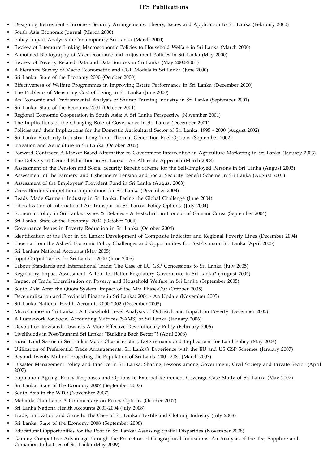#### **IPS Publications**

- Designing Retirement Income Security Arrangements: Theory, Issues and Application to Sri Lanka (February 2000)
- South Asia Economic Journal (March 2000)
- Policy Impact Analysis in Contemporary Sri Lanka (March 2000)
- Review of Literature Linking Macroeconomic Policies to Household Welfare in Sri Lanka (March 2000)
- Annotated Bibliography of Macroeconomic and Adjustment Policies in Sri Lanka (May 2000)
- Review of Poverty Related Data and Data Sources in Sri Lanka (May 2000-2001)
- A literature Survey of Macro Econometric and CGE Models in Sri Lanka (June 2000)
- Sri Lanka: State of the Economy 2000 (October 2000)
- Effectiveness of Welfare Programmes in Improving Estate Performance in Sri Lanka (December 2000)
- The Problems of Measuring Cost of Living in Sri Lanka (June 2000)
- An Economic and Environmental Analysis of Shrimp Farming Industry in Sri Lanka (September 2001)
- Sri Lanka: State of the Economy 2001 (October 2001)
- Regional Economic Cooperation in South Asia: A Sri Lanka Perspective (November 2001)
- The Implications of the Changing Role of Governance in Sri Lanka (December 2001)
- Policies and their Implications for the Domestic Agricultural Sector of Sri Lanka: 1995 2000 (August 2002)
- Sri Lanka Electricity Industry: Long Term Thermal Generation Fuel Options (September 2002)
- Irrigation and Agriculture in Sri Lanka (October 2002)
- Forward Contracts: A Market Based Alternative to Government Intervention in Agriculture Marketing in Sri Lanka (January 2003)
- The Delivery of General Education in Sri Lanka An Alternate Approach (March 2003)
- Assessment of the Pension and Social Security Benefit Scheme for the Self-Employed Persons in Sri Lanka (August 2003)
- Assessment of the Farmers' and Fishermen's Pension and Social Security Benefit Scheme in Sri Lanka (August 2003)
- Assessment of the Employees' Provident Fund in Sri Lanka (August 2003)
- Cross Border Competition: Implications for Sri Lanka (December 2003)
- Ready Made Garment Industry in Sri Lanka: Facing the Global Challenge (June 2004)
- Liberalization of International Air Transport in Sri Lanka: Policy Options. (July 2004)
- Economic Policy in Sri Lanka: Issues & Debates A Festschrift in Honour of Gamani Corea (September 2004)
- Sri Lanka: State of the Economy: 2004 (October 2004)
- Governance Issues in Poverty Reduction in Sri Lanka (October 2004)
- Identification of the Poor in Sri Lanka: Development of Composite Indicator and Regional Poverty Lines (December 2004)
- Phoenix from the Ashes? Economic Policy Challenges and Opportunities for Post-Tsunami Sri Lanka (April 2005)
- Sri Lanka's National Accounts (May 2005)
- Input Output Tables for Sri Lanka 2000 (June 2005)
- Labour Standards and International Trade: The Case of EU GSP Concessions to Sri Lanka (July 2005)
- Regulatory Impact Assessment: A Tool for Better Regulatory Governance in Sri Lanka? (August 2005)
- Impact of Trade Liberalisation on Poverty and Household Welfare in Sri Lanka (September 2005)
- South Asia After the Quota System: Impact of the Mfa Phase-Out (October 2005)
- Decentralization and Provincial Finance in Sri Lanka: 2004 An Update (November 2005)
- Sri Lanka National Health Accounts 2000-2002 (December 2005)
- Microfinance in Sri Lanka : A Household Level Analysis of Outreach and Impact on Poverty (December 2005)
- A Framework for Social Accounting Matrices (SAMS) of Sri Lanka (January 2006)
- Devolution Revisited: Towards A More Effective Devolutionary Polity (February 2006)
- Livelihoods in Post-Tsunami Sri Lanka: "Building Back Better"? (April 2006)
- Rural Land Sector in Sri Lanka: Major Characteristics, Determinants and Implications for Land Policy (May 2006)
- Utilization of Preferential Trade Arrangements: Sri Lanka's Experience with the EU and US GSP Schemes (January 2007)
- Beyond Twenty Million: Projecting the Population of Sri Lanka 2001-2081 (March 2007)
- Disaster Management Policy and Practice in Sri Lanka: Sharing Lessons among Government, Civil Society and Private Sector (April 2007)
- Population Ageing, Policy Responses and Options to External Retirement Coverage Case Study of Sri Lanka (May 2007)
- Sri Lanka: State of the Economy 2007 (September 2007)
- South Asia in the WTO (November 2007)
- Mahinda Chinthana: A Commentary on Policy Options (October 2007)
- Sri Lanka Nationa Health Accounts 2003-2004 (July 2008)
- Trade, Innovation and Growth: The Case of Sri Lankan Textile and Clothing Industry (July 2008)
- Sri Lanka: State of the Economy 2008 (September 2008)
- Educational Opportunities for the Poor in Sri Lanka: Assessing Spatial Disparities (November 2008)
- Gaining Competitive Advantage through the Protection of Geographical Indications: An Analysis of the Tea, Sapphire and Cinnamon Industries of Sri Lanka (May 2009)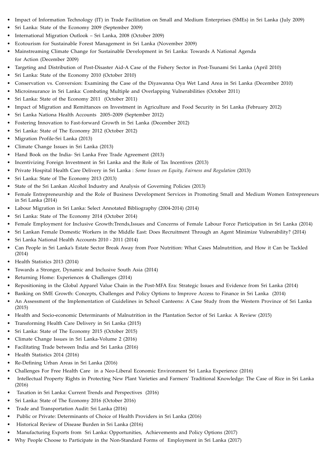- Impact of Information Technology (IT) in Trade Facilitation on Small and Medium Enterprises (SMEs) in Sri Lanka (July 2009)
- Sri Lanka: State of the Economy 2009 (September 2009)
- International Migration Outlook Sri Lanka, 2008 (October 2009)
- Ecotourism for Sustainable Forest Management in Sri Lanka (November 2009)
- Mainstreaming Climate Change for Sustainable Development in Sri Lanka: Towards A National Agenda for Action (December 2009)
- Targeting and Distribution of Post-Disaster Aid-A Case of the Fishery Sector in Post-Tsunami Sri Lanka (April 2010)
- Sri Lanka: State of the Economy 2010 (October 2010)
- Conservation vs. Conversion: Examining the Case of the Diyawanna Oya Wet Land Area in Sri Lanka (December 2010)
- Microinsurance in Sri Lanka: Combating Multiple and Overlapping Vulnerabilities (October 2011)
- Sri Lanka: State of the Economy 2011 (October 2011)
- Impact of Migration and Remittances on Investment in Agriculture and Food Security in Sri Lanka (February 2012)
- Sri Lanka Nationa Health Accounts 2005–2009 (September 2012)
- Fostering Innovation to Fast-forward Growth in Sri Lanka (December 2012)
- Sri Lanka: State of The Economy 2012 (October 2012)
- Migration Profile-Sri Lanka (2013)
- Climate Change Issues in Sri Lanka (2013)
- Hand Book on the India- Sri Lanka Free Trade Agreement (2013)
- Incentivizing Foreign Investment in Sri Lanka and the Role of Tax Incentives (2013)
- Private Hospital Health Care Delivery in Sri Lanka : *Some Issues on Equity, Fairness and Regulation* (2013)
- Sri Lanka: State of The Economy 2013 (2013)
- State of the Sri Lankan Alcohol Industry and Analysis of Governing Policies (2013)
- Female Entrepreneurship and the Role of Business Development Services in Promoting Small and Medium Women Entrepreneurs in Sri Lanka (2014)
- Labour Migration in Sri Lanka: Select Annotated Bibliography (2004-2014) (2014)
- Sri Lanka: State of The Economy 2014 (October 2014)
- Female Employment for Inclusive Growth:Trends,Issues and Concerns of Female Labour Force Participation in Sri Lanka (2014)
- Sri Lankan Female Domestic Workers in the Middle East: Does Recruitment Through an Agent Minimize Vulnerability? (2014)
- Sri Lanka National Health Accounts 2010 2011 (2014)
- Can People in Sri Lanka's Estate Sector Break Away from Poor Nutrition: What Cases Malnutrition, and How it Can be Tackled (2014)
- Health Statistics 2013 (2014)
- Towards a Stronger, Dynamic and Inclusive South Asia (2014)
- Returning Home: Experiences & Challenges (2014)
- Repositioning in the Global Apparel Value Chain in the Post-MFA Era: Strategic Issues and Evidence from Sri Lanka (2014)
- Banking on SME Growth: Concepts, Challenges and Policy Options to Improve Access to Finance in Sri Lanka (2014)
- An Assessment of the Implementation of Guidelines in School Canteens: A Case Study from the Western Province of Sri Lanka (2015)
- Health and Socio-economic Determinants of Malnutrition in the Plantation Sector of Sri Lanka: A Review (2015)
- Transforming Health Care Delivery in Sri Lanka (2015)
- Sri Lanka: State of The Economy 2015 (October 2015)
- Climate Change Issues in Sri Lanka-Volume 2 (2016)
- Facilitating Trade between India and Sri Lanka (2016)
- Health Statistics 2014 (2016)
- Re-Defining Urban Areas in Sri Lanka (2016)
- Challenges For Free Health Care in a Neo-Liberal Economic Environment Sri Lanka Experience (2016)
- Intellectual Property Rights in Protecting New Plant Varieties and Farmers' Traditional Knowledge: The Case of Rice in Sri Lanka (2016)
- Taxation in Sri Lanka: Current Trends and Perspectives (2016)
- Sri Lanka: State of The Economy 2016 (October 2016)
- Trade and Transportation Audit: Sri Lanka (2016)
- Public or Private: Determinants of Choice of Health Providers in Sri Lanka (2016)
- Historical Review of Disease Burden in Sri Lanka (2016)
- Manufacturing Exports from Sri Lanka: Opportunities, Achievements and Policy Options (2017)
- Why People Choose to Participate in the Non-Standard Forms of Employment in Sri Lanka (2017)